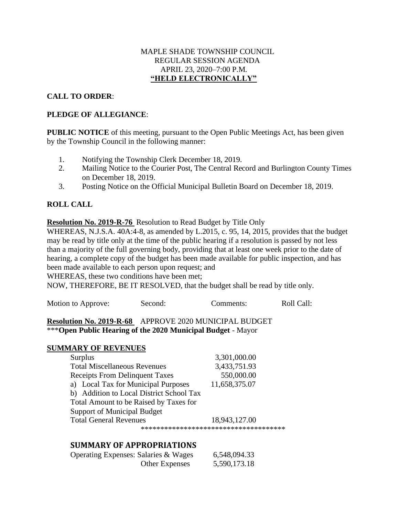### MAPLE SHADE TOWNSHIP COUNCIL REGULAR SESSION AGENDA APRIL 23, 2020–7:00 P.M. **"HELD ELECTRONICALLY"**

## **CALL TO ORDER**:

## **PLEDGE OF ALLEGIANCE**:

**PUBLIC NOTICE** of this meeting, pursuant to the Open Public Meetings Act, has been given by the Township Council in the following manner:

- 1. Notifying the Township Clerk December 18, 2019.
- 2. Mailing Notice to the Courier Post, The Central Record and Burlington County Times on December 18, 2019.
- 3. Posting Notice on the Official Municipal Bulletin Board on December 18, 2019.

# **ROLL CALL**

**Resolution No. 2019-R-76** Resolution to Read Budget by Title Only

WHEREAS, N.J.S.A. 40A:4-8, as amended by L.2015, c. 95, 14, 2015, provides that the budget may be read by title only at the time of the public hearing if a resolution is passed by not less than a majority of the full governing body, providing that at least one week prior to the date of hearing, a complete copy of the budget has been made available for public inspection, and has been made available to each person upon request; and

WHEREAS, these two conditions have been met;

NOW, THEREFORE, BE IT RESOLVED, that the budget shall be read by title only.

| Motion to Approve: | Second: | Comments: | Roll Call: |
|--------------------|---------|-----------|------------|
|                    |         |           |            |

### **Resolution No. 2019-R-68** APPROVE 2020 MUNICIPAL BUDGET \*\*\***Open Public Hearing of the 2020 Municipal Budget** - Mayor

## **SUMMARY OF REVENUES**

| <b>Surplus</b>                           | 3,301,000.00                         |
|------------------------------------------|--------------------------------------|
| <b>Total Miscellaneous Revenues</b>      | 3,433,751.93                         |
| <b>Receipts From Delinquent Taxes</b>    | 550,000.00                           |
| a) Local Tax for Municipal Purposes      | 11,658,375.07                        |
| b) Addition to Local District School Tax |                                      |
| Total Amount to be Raised by Taxes for   |                                      |
| <b>Support of Municipal Budget</b>       |                                      |
| <b>Total General Revenues</b>            | 18,943,127.00                        |
|                                          | ************************************ |

# **SUMMARY OF APPROPRIATIONS**

| Operating Expenses: Salaries & Wages | 6,548,094.33 |
|--------------------------------------|--------------|
| <b>Other Expenses</b>                | 5,590,173.18 |